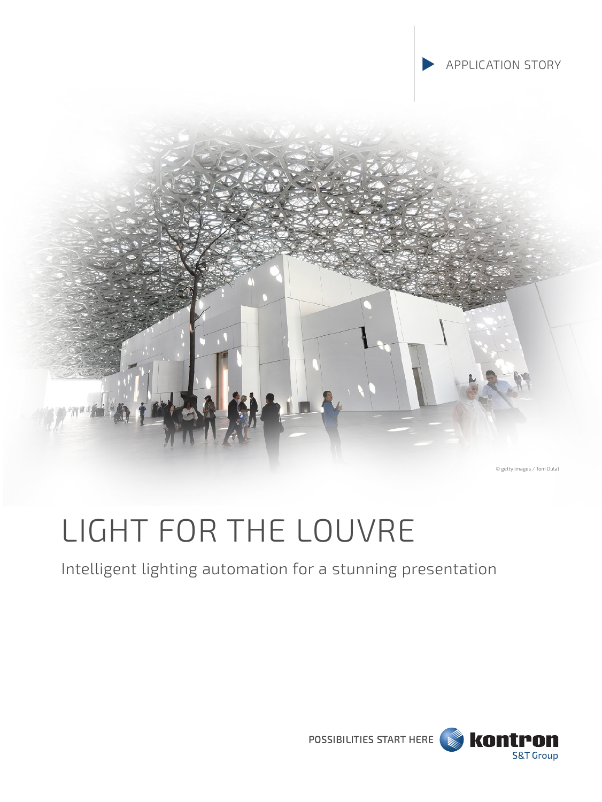



© getty images / Tom Dulat

# LIGHT FOR THE LOUVRE

# Intelligent lighting automation for a stunning presentation

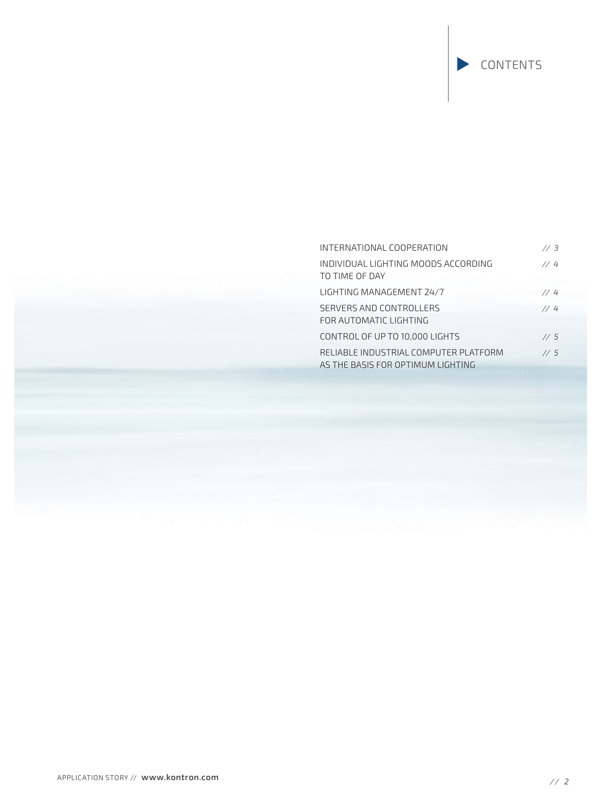# INTERNATIONAL COOPERATION *// 3* INDIVIDUAL LIGHTING MOODS ACCORDING *// 4*  TO TIME OF DAY LIGHTING MANAGEMENT 24/7 *// 4* SERVERS AND CONTROLLERS *// 4* FOR AUTOMATIC LIGHTING CONTROL OF UP TO 10,000 LIGHTS *// 5*  RELIABLE INDUSTRIAL COMPUTER PLATFORM *// 5* AS THE BASIS FOR OPTIMUM LIGHTING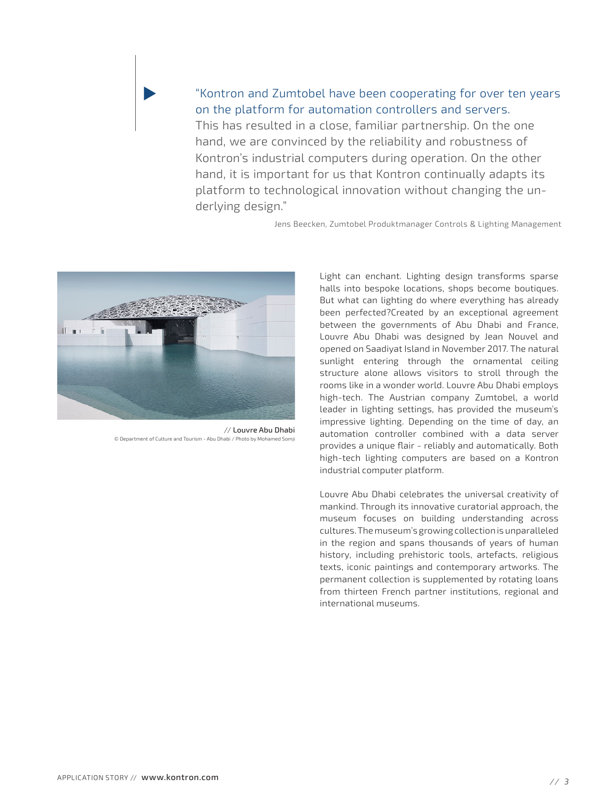## "Kontron and Zumtobel have been cooperating for over ten years on the platform for automation controllers and servers.

This has resulted in a close, familiar partnership. On the one hand, we are convinced by the reliability and robustness of Kontron's industrial computers during operation. On the other hand, it is important for us that Kontron continually adapts its platform to technological innovation without changing the underlying design."

Jens Beecken, Zumtobel Produktmanager Controls & Lighting Management



// Louvre Abu Dhabi © Department of Culture and Tourism - Abu Dhabi / Photo by Mohamed Som

Light can enchant. Lighting design transforms sparse halls into bespoke locations, shops become boutiques. But what can lighting do where everything has already been perfected?Created by an exceptional agreement between the governments of Abu Dhabi and France, Louvre Abu Dhabi was designed by Jean Nouvel and opened on Saadiyat Island in November 2017. The natural sunlight entering through the ornamental ceiling structure alone allows visitors to stroll through the rooms like in a wonder world. Louvre Abu Dhabi employs high-tech. The Austrian company Zumtobel, a world leader in lighting settings, has provided the museum's impressive lighting. Depending on the time of day, an automation controller combined with a data server provides a unique flair - reliably and automatically. Both high-tech lighting computers are based on a Kontron industrial computer platform.

Louvre Abu Dhabi celebrates the universal creativity of mankind. Through its innovative curatorial approach, the museum focuses on building understanding across cultures. The museum's growing collection is unparalleled in the region and spans thousands of years of human history, including prehistoric tools, artefacts, religious texts, iconic paintings and contemporary artworks. The permanent collection is supplemented by rotating loans from thirteen French partner institutions, regional and international museums.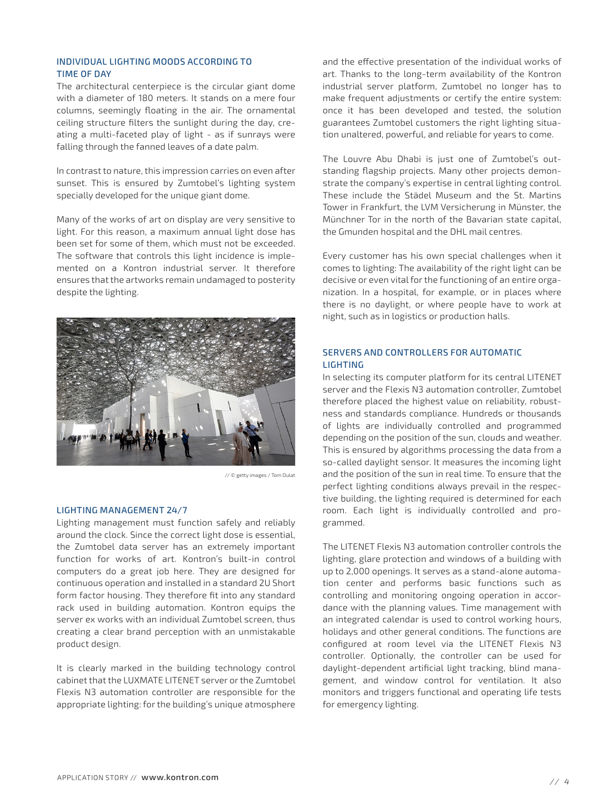#### INDIVIDUAL LIGHTING MOODS ACCORDING TO TIME OF DAY

The architectural centerpiece is the circular giant dome with a diameter of 180 meters. It stands on a mere four columns, seemingly floating in the air. The ornamental ceiling structure filters the sunlight during the day, creating a multi-faceted play of light - as if sunrays were falling through the fanned leaves of a date palm.

In contrast to nature, this impression carries on even after sunset. This is ensured by Zumtobel's lighting system specially developed for the unique giant dome.

Many of the works of art on display are very sensitive to light. For this reason, a maximum annual light dose has been set for some of them, which must not be exceeded. The software that controls this light incidence is implemented on a Kontron industrial server. It therefore ensures that the artworks remain undamaged to posterity despite the lighting.



// © getty images / Tom Dulat

#### LIGHTING MANAGEMENT 24/7

Lighting management must function safely and reliably around the clock. Since the correct light dose is essential, the Zumtobel data server has an extremely important function for works of art. Kontron's built-in control computers do a great job here. They are designed for continuous operation and installed in a standard 2U Short form factor housing. They therefore fit into any standard rack used in building automation. Kontron equips the server ex works with an individual Zumtobel screen, thus creating a clear brand perception with an unmistakable product design.

It is clearly marked in the building technology control cabinet that the LUXMATE LITENET server or the Zumtobel Flexis N3 automation controller are responsible for the appropriate lighting: for the building's unique atmosphere and the effective presentation of the individual works of art. Thanks to the long-term availability of the Kontron industrial server platform, Zumtobel no longer has to make frequent adjustments or certify the entire system: once it has been developed and tested, the solution guarantees Zumtobel customers the right lighting situation unaltered, powerful, and reliable for years to come.

The Louvre Abu Dhabi is just one of Zumtobel's outstanding flagship projects. Many other projects demonstrate the company's expertise in central lighting control. These include the Städel Museum and the St. Martins Tower in Frankfurt, the LVM Versicherung in Münster, the Münchner Tor in the north of the Bavarian state capital, the Gmunden hospital and the DHL mail centres.

Every customer has his own special challenges when it comes to lighting: The availability of the right light can be decisive or even vital for the functioning of an entire organization. In a hospital, for example, or in places where there is no daylight, or where people have to work at night, such as in logistics or production halls.

#### SERVERS AND CONTROLLERS FOR AUTOMATIC LIGHTING

In selecting its computer platform for its central LITENET server and the Flexis N3 automation controller, Zumtobel therefore placed the highest value on reliability, robustness and standards compliance. Hundreds or thousands of lights are individually controlled and programmed depending on the position of the sun, clouds and weather. This is ensured by algorithms processing the data from a so-called daylight sensor. It measures the incoming light and the position of the sun in real time. To ensure that the perfect lighting conditions always prevail in the respective building, the lighting required is determined for each room. Each light is individually controlled and programmed.

The LITENET Flexis N3 automation controller controls the lighting, glare protection and windows of a building with up to 2,000 openings. It serves as a stand-alone automation center and performs basic functions such as controlling and monitoring ongoing operation in accordance with the planning values. Time management with an integrated calendar is used to control working hours, holidays and other general conditions. The functions are configured at room level via the LITENET Flexis N3 controller. Optionally, the controller can be used for daylight-dependent artificial light tracking, blind management, and window control for ventilation. It also monitors and triggers functional and operating life tests for emergency lighting.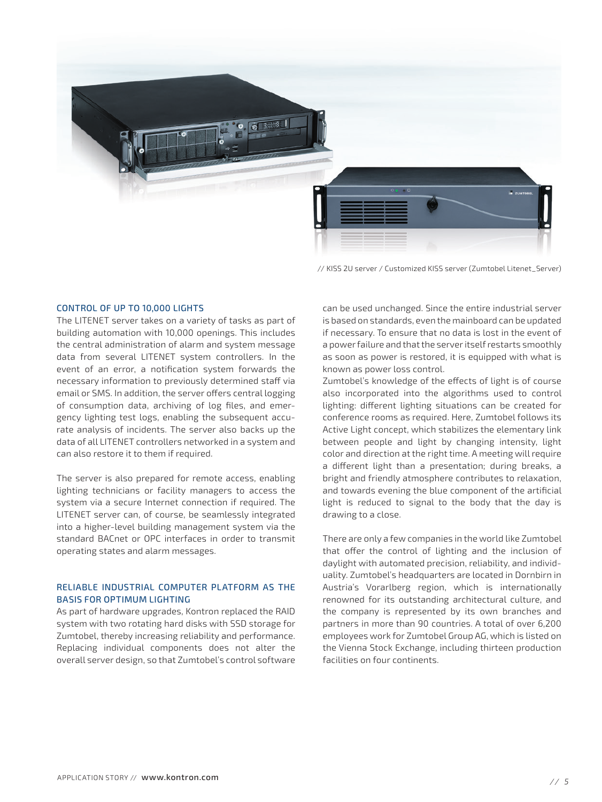

// KISS 2U server / Customized KISS server (Zumtobel Litenet\_Server)

#### CONTROL OF UP TO 10,000 LIGHTS

The LITENET server takes on a variety of tasks as part of building automation with 10,000 openings. This includes the central administration of alarm and system message data from several LITENET system controllers. In the event of an error, a notification system forwards the necessary information to previously determined staff via email or SMS. In addition, the server offers central logging of consumption data, archiving of log files, and emergency lighting test logs, enabling the subsequent accurate analysis of incidents. The server also backs up the data of all LITENET controllers networked in a system and can also restore it to them if required.

The server is also prepared for remote access, enabling lighting technicians or facility managers to access the system via a secure Internet connection if required. The LITENET server can, of course, be seamlessly integrated into a higher-level building management system via the standard BACnet or OPC interfaces in order to transmit operating states and alarm messages.

#### RELIABLE INDUSTRIAL COMPUTER PLATFORM AS THE BASIS FOR OPTIMUM LIGHTING

As part of hardware upgrades, Kontron replaced the RAID system with two rotating hard disks with SSD storage for Zumtobel, thereby increasing reliability and performance. Replacing individual components does not alter the overall server design, so that Zumtobel's control software can be used unchanged. Since the entire industrial server is based on standards, even the mainboard can be updated if necessary. To ensure that no data is lost in the event of a power failure and that the server itself restarts smoothly as soon as power is restored, it is equipped with what is known as power loss control.

Zumtobel's knowledge of the effects of light is of course also incorporated into the algorithms used to control lighting: different lighting situations can be created for conference rooms as required. Here, Zumtobel follows its Active Light concept, which stabilizes the elementary link between people and light by changing intensity, light color and direction at the right time. A meeting will require a different light than a presentation; during breaks, a bright and friendly atmosphere contributes to relaxation, and towards evening the blue component of the artificial light is reduced to signal to the body that the day is drawing to a close.

There are only a few companies in the world like Zumtobel that offer the control of lighting and the inclusion of daylight with automated precision, reliability, and individuality. Zumtobel's headquarters are located in Dornbirn in Austria's Vorarlberg region, which is internationally renowned for its outstanding architectural culture, and the company is represented by its own branches and partners in more than 90 countries. A total of over 6,200 employees work for Zumtobel Group AG, which is listed on the Vienna Stock Exchange, including thirteen production facilities on four continents.